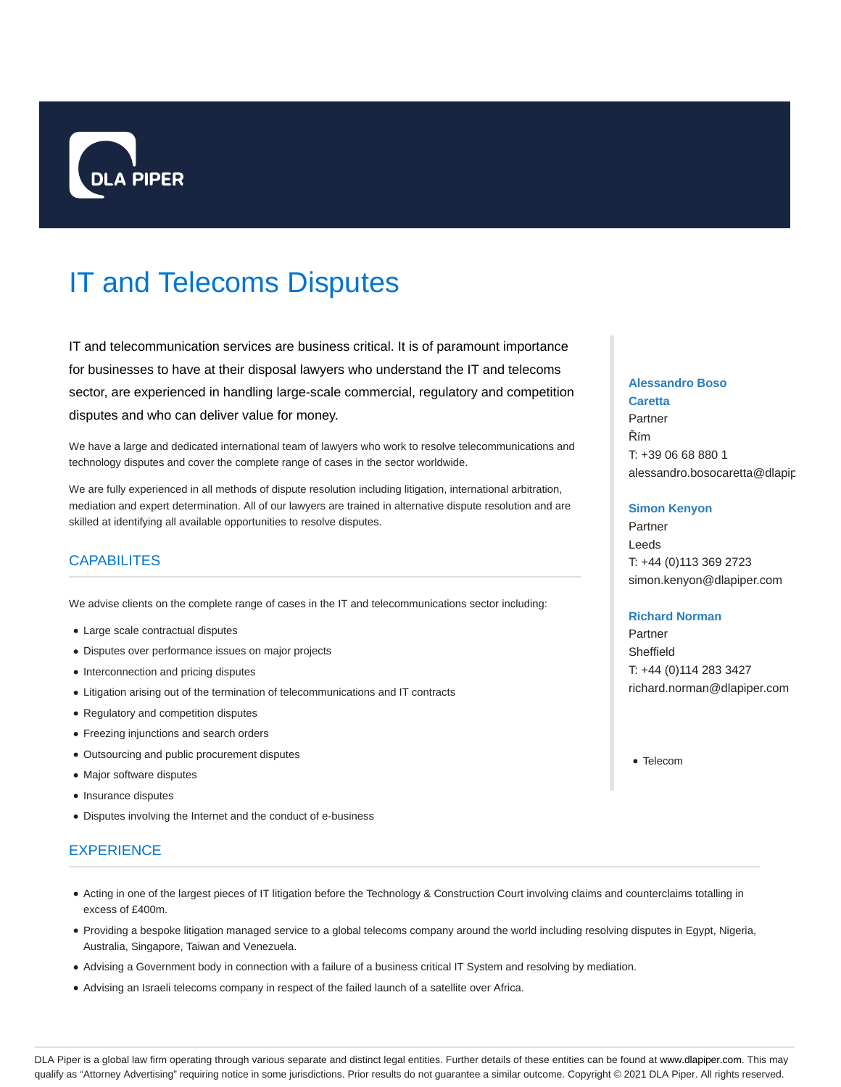

# IT and Telecoms Disputes

IT and telecommunication services are business critical. It is of paramount importance for businesses to have at their disposal lawyers who understand the IT and telecoms sector, are experienced in handling large-scale commercial, regulatory and competition disputes and who can deliver value for money.

We have a large and dedicated international team of lawyers who work to resolve telecommunications and technology disputes and cover the complete range of cases in the sector worldwide.

We are fully experienced in all methods of dispute resolution including litigation, international arbitration, mediation and expert determination. All of our lawyers are trained in alternative dispute resolution and are skilled at identifying all available opportunities to resolve disputes.

# **CAPABILITES**

We advise clients on the complete range of cases in the IT and telecommunications sector including:

- Large scale contractual disputes
- Disputes over performance issues on major projects
- Interconnection and pricing disputes
- Litigation arising out of the termination of telecommunications and IT contracts
- Regulatory and competition disputes
- Freezing injunctions and search orders
- Outsourcing and public procurement disputes
- Major software disputes
- Insurance disputes
- Disputes involving the Internet and the conduct of e-business

# **EXPERIENCE**

- Acting in one of the largest pieces of IT litigation before the Technology & Construction Court involving claims and counterclaims totalling in excess of £400m.
- Providing a bespoke litigation managed service to a global telecoms company around the world including resolving disputes in Egypt, Nigeria, Australia, Singapore, Taiwan and Venezuela.
- Advising a Government body in connection with a failure of a business critical IT System and resolving by mediation.
- Advising an Israeli telecoms company in respect of the failed launch of a satellite over Africa.

# **Alessandro Boso**

**Caretta** Partner Řím T: +39 06 68 880 1 alessandro.bosocaretta@dlapip

### **Simon Kenyon**

Partner Leeds T: +44 (0)113 369 2723 simon.kenyon@dlapiper.com

## **Richard Norman**

Partner Sheffield T: +44 (0)114 283 3427 richard.norman@dlapiper.com

• Telecom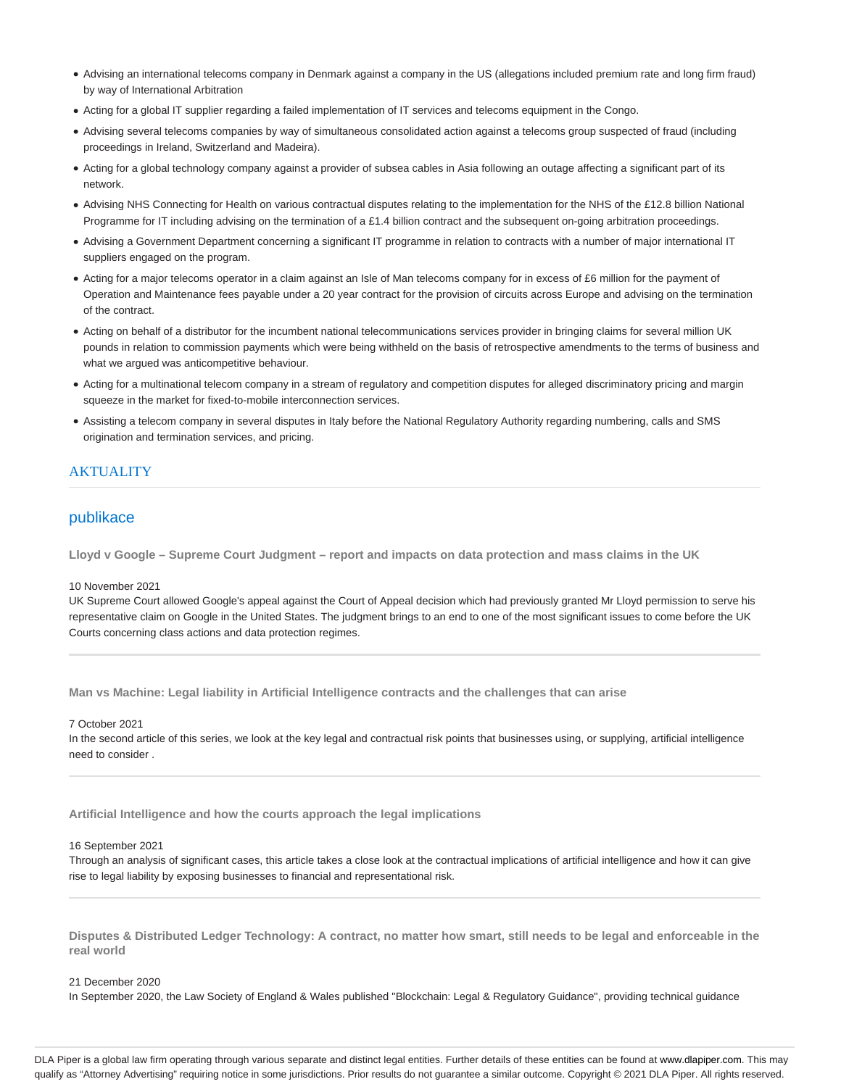- Advising an international telecoms company in Denmark against a company in the US (allegations included premium rate and long firm fraud) by way of International Arbitration
- Acting for a global IT supplier regarding a failed implementation of IT services and telecoms equipment in the Congo.
- Advising several telecoms companies by way of simultaneous consolidated action against a telecoms group suspected of fraud (including proceedings in Ireland, Switzerland and Madeira).
- Acting for a global technology company against a provider of subsea cables in Asia following an outage affecting a significant part of its network.
- Advising NHS Connecting for Health on various contractual disputes relating to the implementation for the NHS of the £12.8 billion National Programme for IT including advising on the termination of a £1.4 billion contract and the subsequent on-going arbitration proceedings.
- Advising a Government Department concerning a significant IT programme in relation to contracts with a number of major international IT suppliers engaged on the program.
- Acting for a major telecoms operator in a claim against an Isle of Man telecoms company for in excess of £6 million for the payment of Operation and Maintenance fees payable under a 20 year contract for the provision of circuits across Europe and advising on the termination of the contract.
- Acting on behalf of a distributor for the incumbent national telecommunications services provider in bringing claims for several million UK pounds in relation to commission payments which were being withheld on the basis of retrospective amendments to the terms of business and what we argued was anticompetitive behaviour.
- Acting for a multinational telecom company in a stream of regulatory and competition disputes for alleged discriminatory pricing and margin squeeze in the market for fixed-to-mobile interconnection services.
- Assisting a telecom company in several disputes in Italy before the National Regulatory Authority regarding numbering, calls and SMS origination and termination services, and pricing.

# **AKTUALITY**

# publikace

**Lloyd v Google – Supreme Court Judgment – report and impacts on data protection and mass claims in the UK**

#### 10 November 2021

UK Supreme Court allowed Google's appeal against the Court of Appeal decision which had previously granted Mr Lloyd permission to serve his representative claim on Google in the United States. The judgment brings to an end to one of the most significant issues to come before the UK Courts concerning class actions and data protection regimes.

**Man vs Machine: Legal liability in Artificial Intelligence contracts and the challenges that can arise**

#### 7 October 2021

In the second article of this series, we look at the key legal and contractual risk points that businesses using, or supplying, artificial intelligence need to consider .

**Artificial Intelligence and how the courts approach the legal implications**

## 16 September 2021

Through an analysis of significant cases, this article takes a close look at the contractual implications of artificial intelligence and how it can give rise to legal liability by exposing businesses to financial and representational risk.

**Disputes & Distributed Ledger Technology: A contract, no matter how smart, still needs to be legal and enforceable in the real world**

## 21 December 2020

In September 2020, the Law Society of England & Wales published "Blockchain: Legal & Regulatory Guidance", providing technical guidance

DLA Piper is a global law firm operating through various separate and distinct legal entities. Further details of these entities can be found at www.dlapiper.com. This may qualify as "Attorney Advertising" requiring notice in some jurisdictions. Prior results do not guarantee a similar outcome. Copyright @ 2021 DLA Piper. All rights reserved.